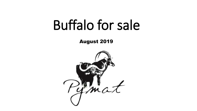# Buffalo for sale

August 2019

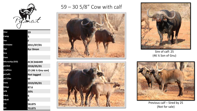

59

5

F

2011/07/01

4C3C3A6449

2018/05/01

Not tagged

2019/05/01

M

87.6

30%

58.875

70.875

6

6

25 (46 % Gnu son)

**8yr Omon** 

**IDnr Camp Sex Birthdate** Age **Sire** Dam **Microchip (EID)** pLCDat **LCalfSire** pLCalf1 pLC1Sex **Date MAge SPR HBoL HBoR** TЕТ **SCI** 

### $59 - 30$  5/8" Cow with calf







Sire of calf: 25 (46 % Son of Gnu)



Previous calf - Sired by 25 (Not for sale)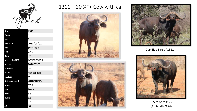

| <b>IDnr</b>      | 1311            |
|------------------|-----------------|
| Camp             | 5               |
| <b>Sex</b>       | F               |
| <b>Birthdate</b> | 2013/03/01      |
| Age              | 6yr 4mon        |
| <b>Sire</b>      | GNU             |
| Dam              | 62              |
| Microchip (EID)  | 4C3D6D3927      |
| pLCDat           | 2018/03/01      |
| <b>LCalfSire</b> | 25              |
| pLCalf1          | Not tagged      |
| pLC1Sex          | M               |
| Date measured    | 2018/10/15      |
| <b>MAge</b>      | 67.5            |
| <b>SPR</b>       | $30\frac{1}{4}$ |
| <b>HBoL</b>      | 6.5             |
| <b>HBoR</b>      | 6.5             |
| $T-T$            | 67              |
| <b>SCI</b>       | 80              |

#### 1311 – 30 ¼"+ Cow with calf







Certified Sire of 1311



Sire of calf: 25 (46 ¼ Son of Gnu)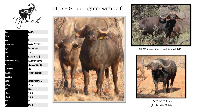

**IDnr 1415 Camp 5 Sex F Birthdate 2014/07/01 Age 5yr 0mon Sire GNU Dam 51 (31 ⅞") Microchip (EID) 7110340E0B pLCDat 2019/05/30 LCalfSire 25 pLCalf1 Not tagged pLC1Sex F Date 2018/10/15 MAge 51.5 SPR 26¼ HBoL 6.25 HBoR 6.25 T-T 61 SCI 73.5**

## 1415 – Gnu daughter with calf





48 ⅜" Gnu - Certified Sire of 1415



Sire of calf: 25 (46 ¼ Son of Gnu)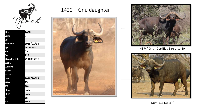

| <b>IDnr</b>      | 1420            |
|------------------|-----------------|
| Camp             | 5               |
| <b>Sex</b>       | F               |
| <b>Birthdate</b> | 2015/01/14      |
| Age              | <b>4yr 6mon</b> |
| <b>Sire</b>      | <b>GNU</b>      |
| Dam              | 113             |
| Microchip (EID)  | 711033501E      |
| pLCDat           |                 |
| <b>LCalfSire</b> |                 |
| pLCalf1          |                 |
| pLC1Sex          |                 |
| <b>Date</b>      | 2018/10/15      |
| <b>MAge</b>      | 45.1            |
| <b>SPR</b>       | 26¼             |
| <b>HBoL</b>      | 6.25            |
| <b>HBoR</b>      | 6.25            |
| $T-T$            | 58              |
| SCI              | 70.5            |

## 1420 - Gnu daughter





48 %" Gnu - Certified Sire of 1420



Dam-113 (36 %)"